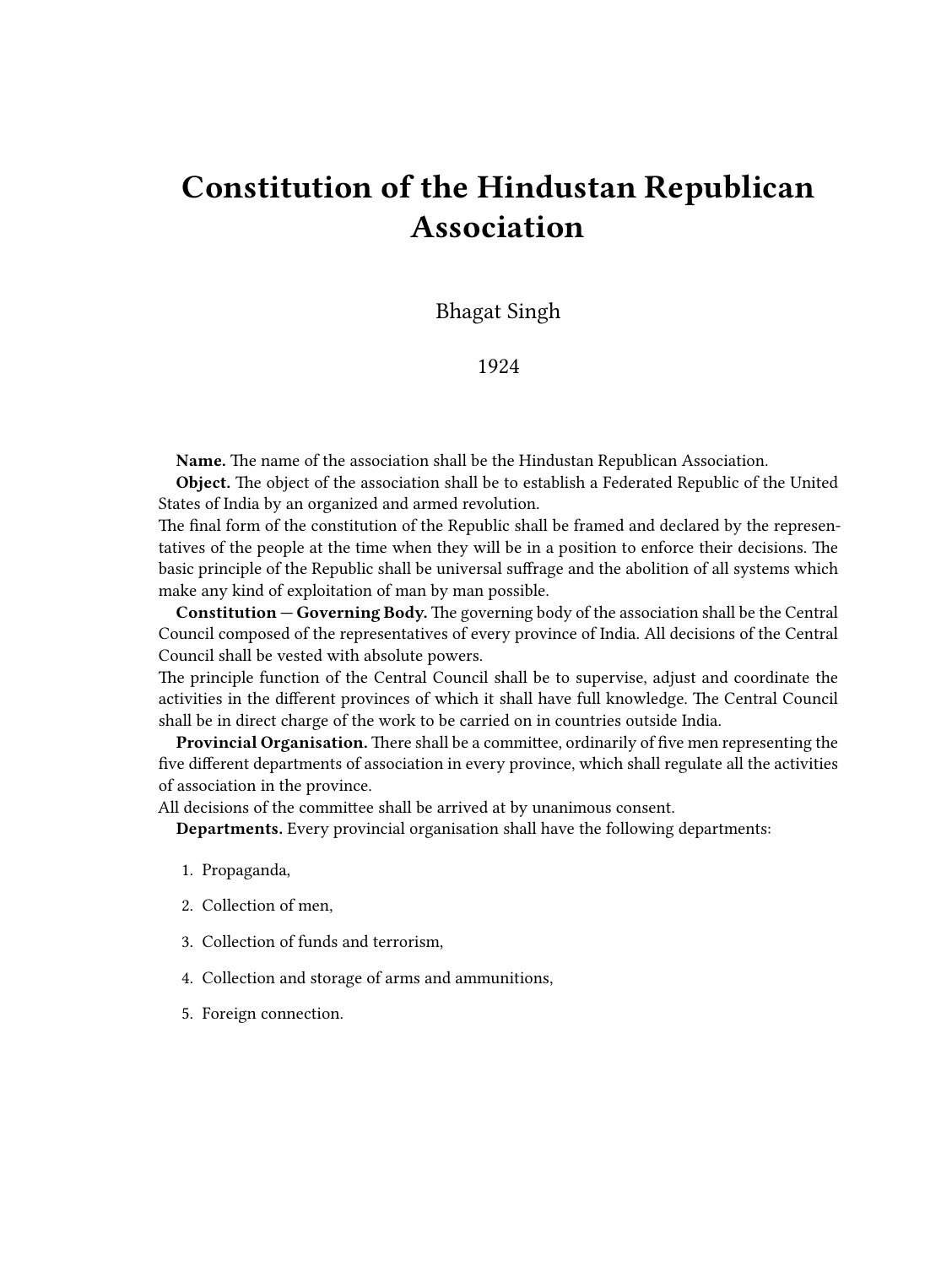# **Constitution of the Hindustan Republican Association**

Bhagat Singh

1924

**Name.** The name of the association shall be the Hindustan Republican Association.

**Object.** The object of the association shall be to establish a Federated Republic of the United States of India by an organized and armed revolution.

The final form of the constitution of the Republic shall be framed and declared by the representatives of the people at the time when they will be in a position to enforce their decisions. The basic principle of the Republic shall be universal suffrage and the abolition of all systems which make any kind of exploitation of man by man possible.

**Constitution — Governing Body.** The governing body of the association shall be the Central Council composed of the representatives of every province of India. All decisions of the Central Council shall be vested with absolute powers.

The principle function of the Central Council shall be to supervise, adjust and coordinate the activities in the different provinces of which it shall have full knowledge. The Central Council shall be in direct charge of the work to be carried on in countries outside India.

**Provincial Organisation.** There shall be a committee, ordinarily of five men representing the five different departments of association in every province, which shall regulate all the activities of association in the province.

All decisions of the committee shall be arrived at by unanimous consent.

**Departments.** Every provincial organisation shall have the following departments:

- 1. Propaganda,
- 2. Collection of men,
- 3. Collection of funds and terrorism,
- 4. Collection and storage of arms and ammunitions,
- 5. Foreign connection.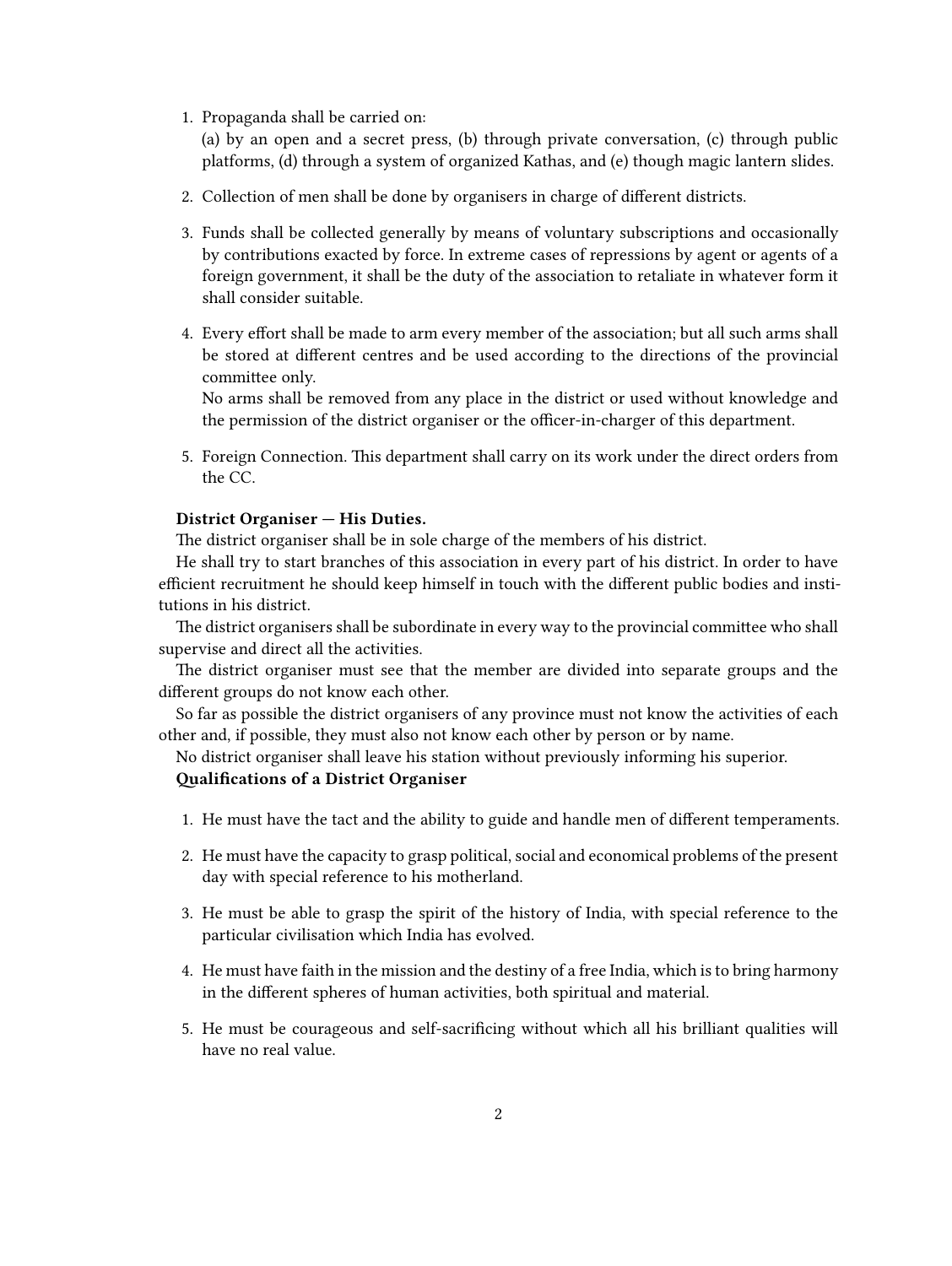1. Propaganda shall be carried on:

(a) by an open and a secret press, (b) through private conversation, (c) through public platforms, (d) through a system of organized Kathas, and (e) though magic lantern slides.

- 2. Collection of men shall be done by organisers in charge of different districts.
- 3. Funds shall be collected generally by means of voluntary subscriptions and occasionally by contributions exacted by force. In extreme cases of repressions by agent or agents of a foreign government, it shall be the duty of the association to retaliate in whatever form it shall consider suitable.
- 4. Every effort shall be made to arm every member of the association; but all such arms shall be stored at different centres and be used according to the directions of the provincial committee only.

No arms shall be removed from any place in the district or used without knowledge and the permission of the district organiser or the officer-in-charger of this department.

5. Foreign Connection. This department shall carry on its work under the direct orders from the CC.

## **District Organiser — His Duties.**

The district organiser shall be in sole charge of the members of his district.

He shall try to start branches of this association in every part of his district. In order to have efficient recruitment he should keep himself in touch with the different public bodies and institutions in his district.

The district organisers shall be subordinate in every way to the provincial committee who shall supervise and direct all the activities.

The district organiser must see that the member are divided into separate groups and the different groups do not know each other.

So far as possible the district organisers of any province must not know the activities of each other and, if possible, they must also not know each other by person or by name.

No district organiser shall leave his station without previously informing his superior.

## **Qualifications of a District Organiser**

- 1. He must have the tact and the ability to guide and handle men of different temperaments.
- 2. He must have the capacity to grasp political, social and economical problems of the present day with special reference to his motherland.
- 3. He must be able to grasp the spirit of the history of India, with special reference to the particular civilisation which India has evolved.
- 4. He must have faith in the mission and the destiny of a free India, which is to bring harmony in the different spheres of human activities, both spiritual and material.
- 5. He must be courageous and self-sacrificing without which all his brilliant qualities will have no real value.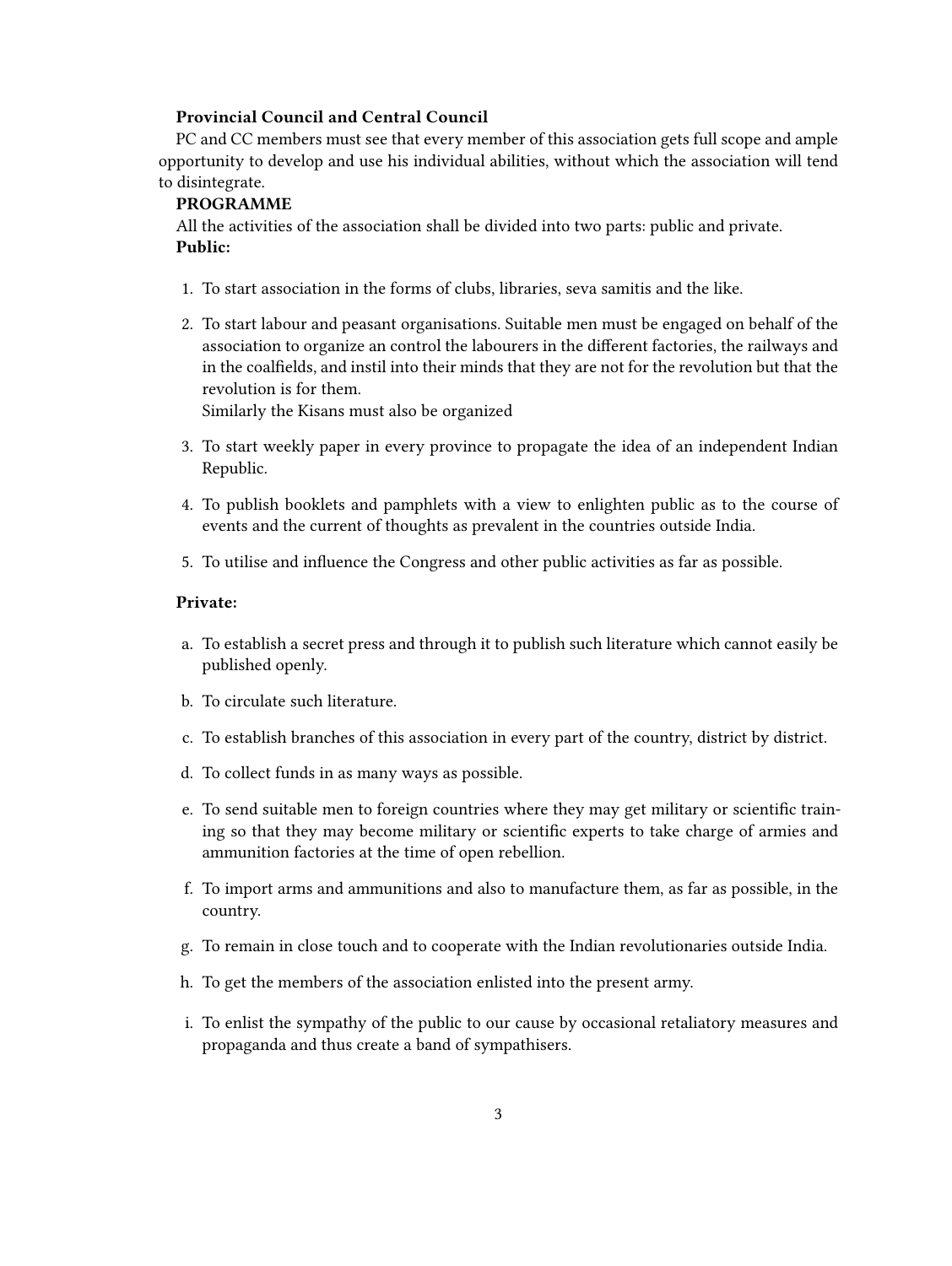## **Provincial Council and Central Council**

PC and CC members must see that every member of this association gets full scope and ample opportunity to develop and use his individual abilities, without which the association will tend to disintegrate.

#### **PROGRAMME**

All the activities of the association shall be divided into two parts: public and private. **Public:**

- 1. To start association in the forms of clubs, libraries, seva samitis and the like.
- 2. To start labour and peasant organisations. Suitable men must be engaged on behalf of the association to organize an control the labourers in the different factories, the railways and in the coalfields, and instil into their minds that they are not for the revolution but that the revolution is for them.

Similarly the Kisans must also be organized

- 3. To start weekly paper in every province to propagate the idea of an independent Indian Republic.
- 4. To publish booklets and pamphlets with a view to enlighten public as to the course of events and the current of thoughts as prevalent in the countries outside India.
- 5. To utilise and influence the Congress and other public activities as far as possible.

#### **Private:**

- a. To establish a secret press and through it to publish such literature which cannot easily be published openly.
- b. To circulate such literature.
- c. To establish branches of this association in every part of the country, district by district.
- d. To collect funds in as many ways as possible.
- e. To send suitable men to foreign countries where they may get military or scientific training so that they may become military or scientific experts to take charge of armies and ammunition factories at the time of open rebellion.
- f. To import arms and ammunitions and also to manufacture them, as far as possible, in the country.
- g. To remain in close touch and to cooperate with the Indian revolutionaries outside India.
- h. To get the members of the association enlisted into the present army.
- i. To enlist the sympathy of the public to our cause by occasional retaliatory measures and propaganda and thus create a band of sympathisers.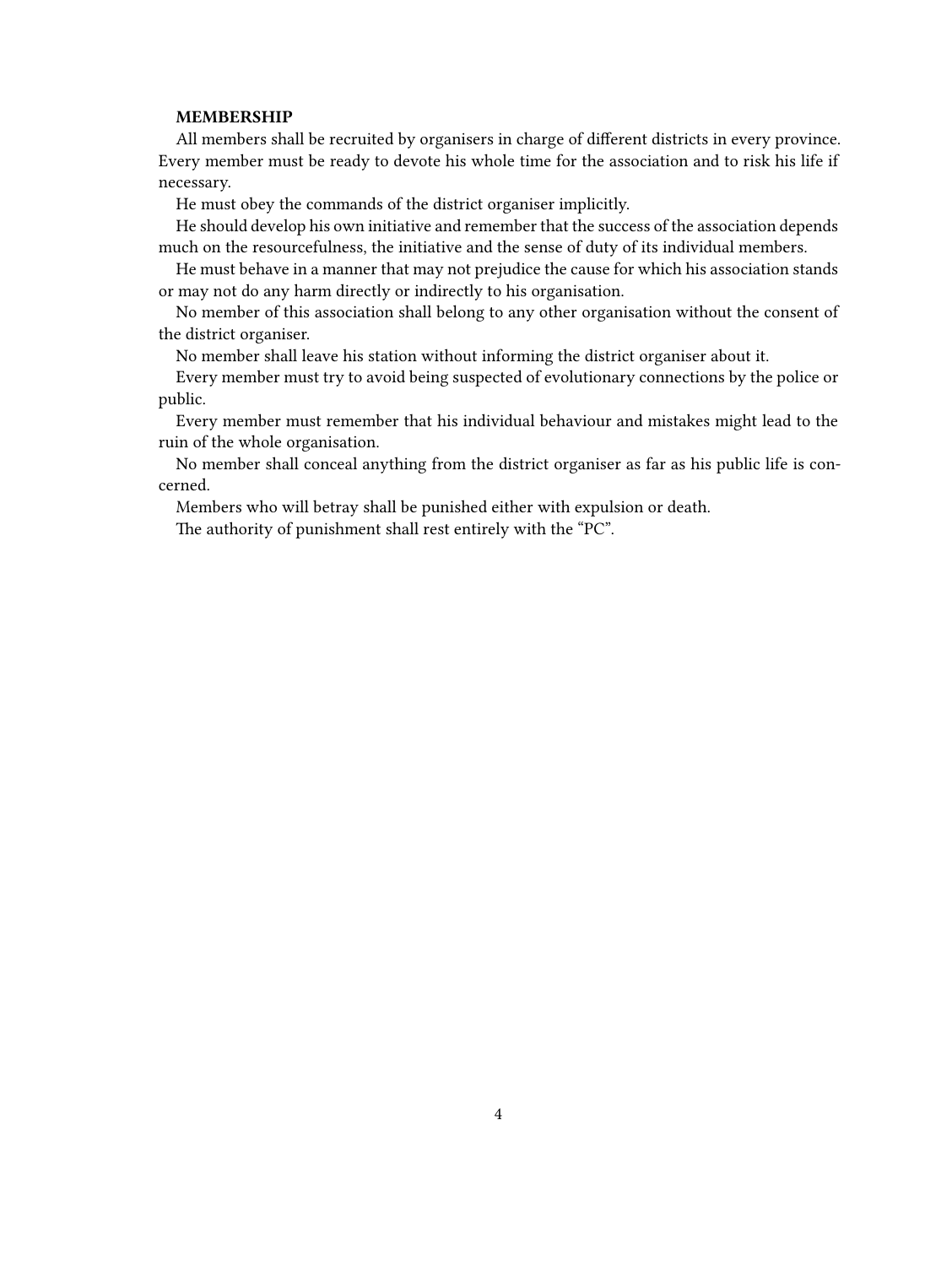#### **MEMBERSHIP**

All members shall be recruited by organisers in charge of different districts in every province. Every member must be ready to devote his whole time for the association and to risk his life if necessary.

He must obey the commands of the district organiser implicitly.

He should develop his own initiative and remember that the success of the association depends much on the resourcefulness, the initiative and the sense of duty of its individual members.

He must behave in a manner that may not prejudice the cause for which his association stands or may not do any harm directly or indirectly to his organisation.

No member of this association shall belong to any other organisation without the consent of the district organiser.

No member shall leave his station without informing the district organiser about it.

Every member must try to avoid being suspected of evolutionary connections by the police or public.

Every member must remember that his individual behaviour and mistakes might lead to the ruin of the whole organisation.

No member shall conceal anything from the district organiser as far as his public life is concerned.

Members who will betray shall be punished either with expulsion or death.

The authority of punishment shall rest entirely with the "PC".